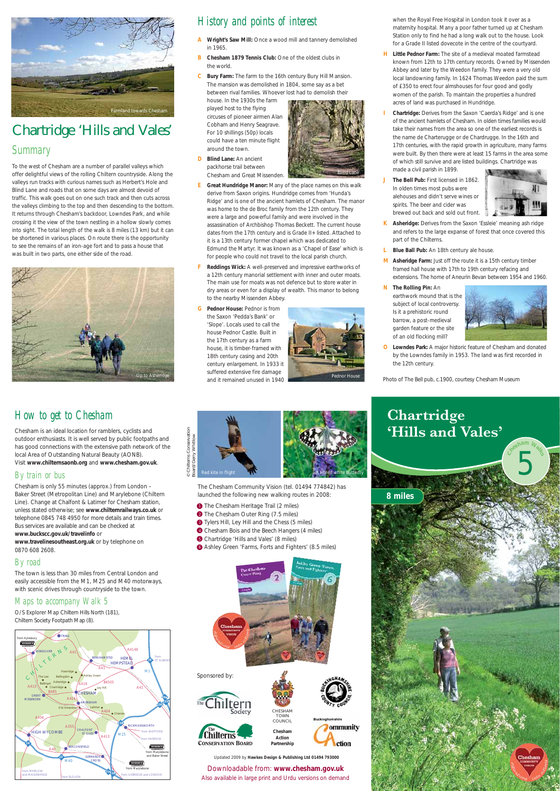## Chartridge 'Hills and Vales' *Summary*

To the west of Chesham are a number of parallel valleys which offer delightful views of the rolling Chiltern countryside. Along the valleys run tracks with curious names such as Herbert's Hole and Blind Lane and roads that on some days are almost devoid of traffic. This walk goes out on one such track and then cuts across the valleys climbing to the top and then descending to the bottom. It returns through Chesham's backdoor, Lowndes Park, and while crossing it the view of the town nestling in a hollow slowly comes into sight. The total length of the walk is 8 miles (13 km) but it can be shortened in various places. On route there is the opportunity to see the remains of an iron-age fort and to pass a house that was built in two parts, one either side of the road.



Sponsored by:





CHESHAM TOWN **COUNCIL Chesham Action Partnership**

ction

## *How to get to Chesham*

Chesham is an ideal location for ramblers, cyclists and outdoor enthusiasts. It is well served by public footpaths and has good connections with the extensive path network of the local Area of Outstanding Natural Beauty (AONB). Visit **www.chilternsaonb.org** and **www.chesham.gov.uk**.

#### *By train or bus*

Chesham is only 55 minutes (approx.) from London – Baker Street (Metropolitan Line) and Marylebone (Chiltern Line). Change at Chalfont & Latimer for Chesham station, unless stated otherwise; see **www.chilternrailways.co.uk** or telephone 0845 748 4950 for more details and train times. Bus services are available and can be checked at **www.buckscc.gov.uk/travelinfo** or **www.travelinesoutheast.org.uk** or by telephone on 0870 608 2608.

#### *By road*

The town is less than 30 miles from Central London and easily accessible from the M1, M25 and M40 motorways, with scenic drives through countryside to the town.

#### *Maps to accompany Walk 5*

O/S Explorer Map Chiltern Hills North (181), Chiltern Society Footpath Map (8).

Updated 2009 by **Hawkes Design & Publishing Ltd 01494 793000**

## *History and points of interest*

- **A Wright's Saw Mill:** Once a wood mill and tannery demolished in 1965.
- **B** Chesham 1879 Tennis Club: One of the oldest clubs in the world.
- **C Bury Farm:** The farm to the 16th century Bury Hill Mansion. The mansion was demolished in 1804, some say as a bet between rival families. Whoever lost had to demolish their

house. In the 1930s the farm played host to the flying circuses of pioneer airmen Alan Cobham and Henry Seagrave. For 10 shillings (50p) locals could have a ten minute flight around the town.

- **D Blind Lane:** An ancient packhorse trail between Chesham and Great Missenden.
- **E Great Hundridge Manor:** Many of the place names on this walk derive from Saxon origins. Hundridge comes from 'Hunda's Ridge' and is one of the ancient hamlets of Chesham. The manor was home to the de Broc family from the 12th century. They were a large and powerful family and were involved in the assassination of Archbishop Thomas Beckett. The current house dates from the 17th century and is Grade II+ listed. Attached to it is a 13th century former chapel which was dedicated to Edmund the Martyr. It was known as a 'Chapel of Ease' which is for people who could not travel to the local parish church.
- **F Reddings Wick:** A well-preserved and impressive earthworks of a 12th century manorial settlement with inner and outer moats. The main use for moats was not defence but to store water in dry areas or even for a display of wealth. This manor to belong to the nearby Missenden Abbey.
- **G Pednor House:** Pednor is from the Saxon 'Pedda's Bank' or 'Slope'. Locals used to call the house Pednor Castle. Built in the 17th century as a farm house, it is timber-framed with 18th century casing and 20th century enlargement. In 1933 it suffered extensive fire damage and it remained unused in 1940



when the Royal Free Hospital in London took it over as a maternity hospital. Many a poor father turned up at Chesham Station only to find he had a long walk out to the house. Look for a Grade II listed dovecote in the centre of the courtyard.

- **H Little Pednor Farm:** The site of a medieval moated farmstead known from 12th to 17th century records. Owned by Missenden Abbey and later by the Weedon family. They were a very old local landowning family. In 1624 Thomas Weedon paid the sum of £350 to erect four almshouses for four good and godly women of the parish. To maintain the properties a hundred acres of land was purchased in Hundridge.
- **I Chartridge:** Derives from the Saxon 'Caerda's Ridge' and is one of the ancient hamlets of Chesham. In olden times families would take their names from the area so one of the earliest records is the name de Charterugge or de Chardrugge. In the 16th and 17th centuries, with the rapid growth in agriculture, many farms were built. By then there were at least 15 farms in the area some of which still survive and are listed buildings. Chartridge was made a civil parish in 1899.
- **J The Bell Pub:** First licensed in 1862. In olden times most pubs were alehouses and didn't serve wines or spirits. The beer and cider was brewed out back and sold out front.



- **K Asheridge:** Derives from the Saxon 'Essleie' meaning ash ridge and refers to the large expanse of forest that once covered this part of the Chilterns.
- **L** Blue Ball Pub: An 18th century ale house.
- **M Asheridge Farm:** Just off the route it is a 15th century timber framed hall house with 17th to 19th century refacing and extensions. The home of Aneurin Bevan between 1954 and 1960.
- **N The Rolling Pin:** An earthwork mound that is the subject of local controversy. Is it a prehistoric round barrow, a post-medieval garden feature or the site of an old flocking mill?



**O Lowndes Park:** A major historic feature of Chesham and donated by the Lowndes family in 1953. The land was first recorded in the 12th century.

Photo of The Bell pub, c.1900, courtesy Chesham Museum

Downloadable from: **www.chesham.gov.uk** Also available in large print and Urdu versions on demand



The Chesham Community Vision (tel. 01494 774842) has launched the following new walking routes in 2008:

- <sup>1</sup> The Chesham Heritage Trail (2 miles)
- 2 The Chesham Outer Ring (7.5 miles)
- <sup>3</sup> Tylers Hill, Ley Hill and the Chess (5 miles)
- 4 Chesham Bois and the Beech Hangers (4 miles)
- <sup>5</sup> Chartridge 'Hills and Vales' (8 miles)
- <sup>6</sup> Ashley Green 'Farms, Forts and Fighters' (8.5 miles)





**<sup>C</sup>hesha<sup>m</sup> <sup>W</sup>alk<sup>s</sup>**







*Blind Lane*